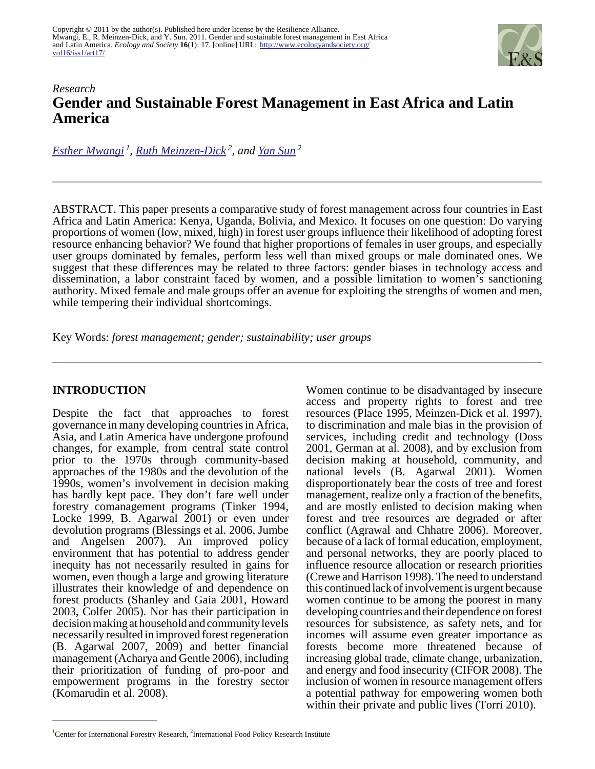

## *Research* **Gender and Sustainable Forest Management in East Africa and Latin America**

*[Esther Mwangi](mailto:e.mwangi@cgiar.org)<sup>1</sup> , [Ruth Meinzen-Dick](mailto:r.meinzen-dick@cgiar.org)<sup>2</sup>, and [Yan Sun](mailto:y.sun@cgiar.org)<sup>2</sup>*

ABSTRACT. This paper presents a comparative study of forest management across four countries in East Africa and Latin America: Kenya, Uganda, Bolivia, and Mexico. It focuses on one question: Do varying proportions of women (low, mixed, high) in forest user groups influence their likelihood of adopting forest resource enhancing behavior? We found that higher proportions of females in user groups, and especially user groups dominated by females, perform less well than mixed groups or male dominated ones. We suggest that these differences may be related to three factors: gender biases in technology access and dissemination, a labor constraint faced by women, and a possible limitation to women's sanctioning authority. Mixed female and male groups offer an avenue for exploiting the strengths of women and men, while tempering their individual shortcomings.

Key Words: *forest management; gender; sustainability; user groups*

## **INTRODUCTION**

Despite the fact that approaches to forest governance in many developing countries in Africa, Asia, and Latin America have undergone profound changes, for example, from central state control prior to the 1970s through community-based approaches of the 1980s and the devolution of the 1990s, women's involvement in decision making has hardly kept pace. They don't fare well under forestry comanagement programs (Tinker 1994, Locke 1999, B. Agarwal 2001) or even under devolution programs (Blessings et al. 2006, Jumbe and Angelsen 2007). An improved policy environment that has potential to address gender inequity has not necessarily resulted in gains for women, even though a large and growing literature illustrates their knowledge of and dependence on forest products (Shanley and Gaia 2001, Howard 2003, Colfer 2005). Nor has their participation in decision making at household and community levels necessarily resulted in improved forest regeneration (B. Agarwal 2007, 2009) and better financial management (Acharya and Gentle 2006), including their prioritization of funding of pro-poor and empowerment programs in the forestry sector (Komarudin et al. 2008).

Women continue to be disadvantaged by insecure access and property rights to forest and tree resources (Place 1995, Meinzen-Dick et al. 1997), to discrimination and male bias in the provision of services, including credit and technology (Doss 2001, German at al. 2008), and by exclusion from decision making at household, community, and national levels (B. Agarwal 2001). Women disproportionately bear the costs of tree and forest management, realize only a fraction of the benefits, and are mostly enlisted to decision making when forest and tree resources are degraded or after conflict (Agrawal and Chhatre 2006). Moreover, because of a lack of formal education, employment, and personal networks, they are poorly placed to influence resource allocation or research priorities (Crewe and Harrison 1998). The need to understand this continued lack of involvement is urgent because women continue to be among the poorest in many developing countries and their dependence on forest resources for subsistence, as safety nets, and for incomes will assume even greater importance as forests become more threatened because of increasing global trade, climate change, urbanization, and energy and food insecurity (CIFOR 2008). The inclusion of women in resource management offers a potential pathway for empowering women both within their private and public lives (Torri 2010).

<sup>&</sup>lt;sup>1</sup>Center for International Forestry Research, <sup>2</sup>International Food Policy Research Institute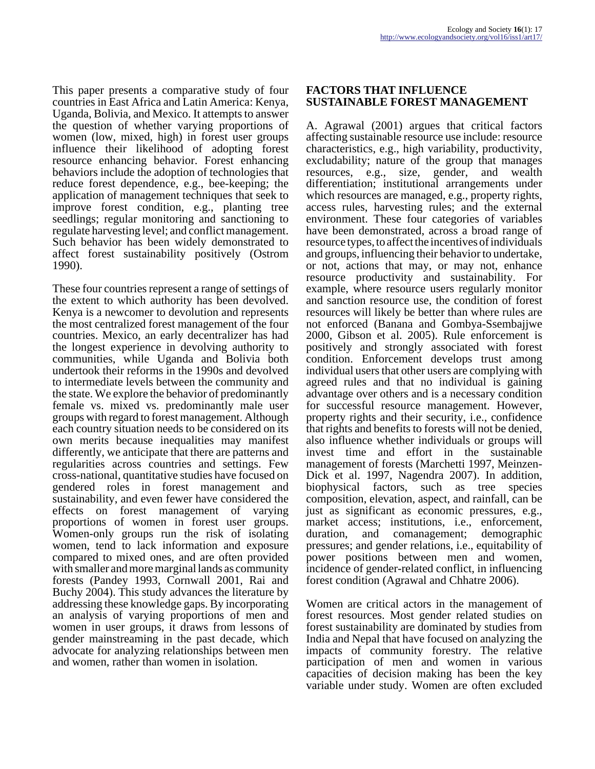This paper presents a comparative study of four countries in East Africa and Latin America: Kenya, Uganda, Bolivia, and Mexico. It attempts to answer the question of whether varying proportions of women (low, mixed, high) in forest user groups influence their likelihood of adopting forest resource enhancing behavior. Forest enhancing behaviors include the adoption of technologies that reduce forest dependence, e.g., bee-keeping; the application of management techniques that seek to improve forest condition, e.g., planting tree seedlings; regular monitoring and sanctioning to regulate harvesting level; and conflict management. Such behavior has been widely demonstrated to affect forest sustainability positively (Ostrom 1990).

These four countries represent a range of settings of the extent to which authority has been devolved. Kenya is a newcomer to devolution and represents the most centralized forest management of the four countries. Mexico, an early decentralizer has had the longest experience in devolving authority to communities, while Uganda and Bolivia both undertook their reforms in the 1990s and devolved to intermediate levels between the community and the state. We explore the behavior of predominantly female vs. mixed vs. predominantly male user groups with regard to forest management. Although each country situation needs to be considered on its own merits because inequalities may manifest differently, we anticipate that there are patterns and regularities across countries and settings. Few cross-national, quantitative studies have focused on gendered roles in forest management and sustainability, and even fewer have considered the effects on forest management of varying proportions of women in forest user groups. Women-only groups run the risk of isolating women, tend to lack information and exposure compared to mixed ones, and are often provided with smaller and more marginal lands as community forests (Pandey 1993, Cornwall 2001, Rai and Buchy 2004). This study advances the literature by addressing these knowledge gaps. By incorporating an analysis of varying proportions of men and women in user groups, it draws from lessons of gender mainstreaming in the past decade, which advocate for analyzing relationships between men and women, rather than women in isolation.

## **FACTORS THAT INFLUENCE SUSTAINABLE FOREST MANAGEMENT**

A. Agrawal (2001) argues that critical factors affecting sustainable resource use include: resource characteristics, e.g., high variability, productivity, excludability; nature of the group that manages resources, e.g., size, gender, and wealth differentiation; institutional arrangements under which resources are managed, e.g., property rights, access rules, harvesting rules; and the external environment. These four categories of variables have been demonstrated, across a broad range of resource types, to affect the incentives of individuals and groups, influencing their behavior to undertake, or not, actions that may, or may not, enhance resource productivity and sustainability. For example, where resource users regularly monitor and sanction resource use, the condition of forest resources will likely be better than where rules are not enforced (Banana and Gombya-Ssembajjwe 2000, Gibson et al. 2005). Rule enforcement is positively and strongly associated with forest condition. Enforcement develops trust among individual users that other users are complying with agreed rules and that no individual is gaining advantage over others and is a necessary condition for successful resource management. However, property rights and their security, i.e., confidence that rights and benefits to forests will not be denied, also influence whether individuals or groups will invest time and effort in the sustainable management of forests (Marchetti 1997, Meinzen-Dick et al. 1997, Nagendra 2007). In addition, biophysical factors, such as tree species composition, elevation, aspect, and rainfall, can be just as significant as economic pressures, e.g., market access; institutions, i.e., enforcement, duration, and comanagement; demographic pressures; and gender relations, i.e., equitability of power positions between men and women, incidence of gender-related conflict, in influencing forest condition (Agrawal and Chhatre 2006).

Women are critical actors in the management of forest resources. Most gender related studies on forest sustainability are dominated by studies from India and Nepal that have focused on analyzing the impacts of community forestry. The relative participation of men and women in various capacities of decision making has been the key variable under study. Women are often excluded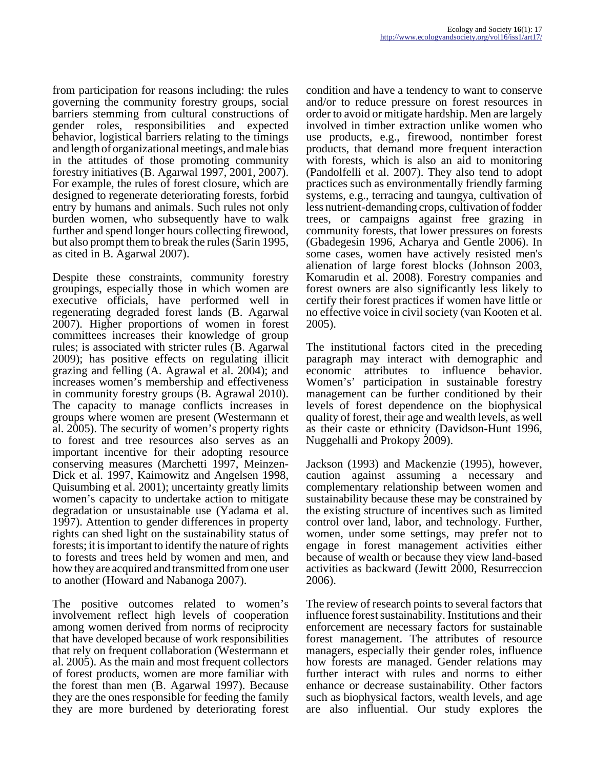from participation for reasons including: the rules governing the community forestry groups, social barriers stemming from cultural constructions of gender roles, responsibilities and expected behavior, logistical barriers relating to the timings and length of organizational meetings, and male bias in the attitudes of those promoting community forestry initiatives (B. Agarwal 1997, 2001, 2007). For example, the rules of forest closure, which are designed to regenerate deteriorating forests, forbid entry by humans and animals. Such rules not only burden women, who subsequently have to walk further and spend longer hours collecting firewood, but also prompt them to break the rules (Sarin 1995, as cited in B. Agarwal 2007).

Despite these constraints, community forestry groupings, especially those in which women are executive officials, have performed well in regenerating degraded forest lands (B. Agarwal 2007). Higher proportions of women in forest committees increases their knowledge of group rules; is associated with stricter rules (B. Agarwal 2009); has positive effects on regulating illicit grazing and felling (A. Agrawal et al. 2004); and increases women's membership and effectiveness in community forestry groups (B. Agrawal 2010). The capacity to manage conflicts increases in groups where women are present (Westermann et al. 2005). The security of women's property rights to forest and tree resources also serves as an important incentive for their adopting resource conserving measures (Marchetti 1997, Meinzen-Dick et al. 1997, Kaimowitz and Angelsen 1998, Quisumbing et al. 2001); uncertainty greatly limits women's capacity to undertake action to mitigate degradation or unsustainable use (Yadama et al. 1997). Attention to gender differences in property rights can shed light on the sustainability status of forests; it is important to identify the nature of rights to forests and trees held by women and men, and how they are acquired and transmitted from one user to another (Howard and Nabanoga 2007).

The positive outcomes related to women's involvement reflect high levels of cooperation among women derived from norms of reciprocity that have developed because of work responsibilities that rely on frequent collaboration (Westermann et al. 2005). As the main and most frequent collectors of forest products, women are more familiar with the forest than men (B. Agarwal 1997). Because they are the ones responsible for feeding the family they are more burdened by deteriorating forest

condition and have a tendency to want to conserve and/or to reduce pressure on forest resources in order to avoid or mitigate hardship. Men are largely involved in timber extraction unlike women who use products, e.g., firewood, nontimber forest products, that demand more frequent interaction with forests, which is also an aid to monitoring (Pandolfelli et al. 2007). They also tend to adopt practices such as environmentally friendly farming systems, e.g., terracing and taungya, cultivation of less nutrient-demanding crops, cultivation of fodder trees, or campaigns against free grazing in community forests, that lower pressures on forests (Gbadegesin 1996, Acharya and Gentle 2006). In some cases, women have actively resisted men's alienation of large forest blocks (Johnson 2003, Komarudin et al. 2008). Forestry companies and forest owners are also significantly less likely to certify their forest practices if women have little or no effective voice in civil society (van Kooten et al. 2005).

The institutional factors cited in the preceding paragraph may interact with demographic and economic attributes to influence behavior. Women's' participation in sustainable forestry management can be further conditioned by their levels of forest dependence on the biophysical quality of forest, their age and wealth levels, as well as their caste or ethnicity (Davidson-Hunt 1996, Nuggehalli and Prokopy 2009).

Jackson (1993) and Mackenzie (1995), however, caution against assuming a necessary and complementary relationship between women and sustainability because these may be constrained by the existing structure of incentives such as limited control over land, labor, and technology. Further, women, under some settings, may prefer not to engage in forest management activities either because of wealth or because they view land-based activities as backward (Jewitt 2000, Resurreccion 2006).

The review of research points to several factors that influence forest sustainability. Institutions and their enforcement are necessary factors for sustainable forest management. The attributes of resource managers, especially their gender roles, influence how forests are managed. Gender relations may further interact with rules and norms to either enhance or decrease sustainability. Other factors such as biophysical factors, wealth levels, and age are also influential. Our study explores the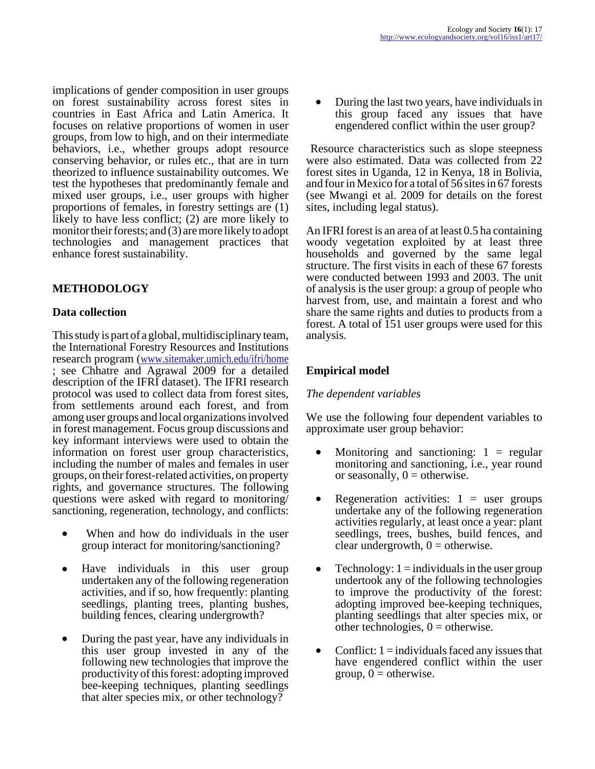implications of gender composition in user groups on forest sustainability across forest sites in countries in East Africa and Latin America. It focuses on relative proportions of women in user groups, from low to high, and on their intermediate behaviors, i.e., whether groups adopt resource conserving behavior, or rules etc., that are in turn theorized to influence sustainability outcomes. We test the hypotheses that predominantly female and mixed user groups, i.e., user groups with higher proportions of females, in forestry settings are (1) likely to have less conflict; (2) are more likely to monitor their forests; and (3) are more likely to adopt technologies and management practices that enhance forest sustainability.

## **METHODOLOGY**

## **Data collection**

This study is part of a global, multidisciplinary team, the International Forestry Resources and Institutions research program ([www.sitemaker.umich.edu/ifri/home](http://www.sitemaker.umich.edu/ifri/home) ; see Chhatre and Agrawal 2009 for a detailed description of the IFRI dataset). The IFRI research protocol was used to collect data from forest sites, from settlements around each forest, and from among user groups and local organizations involved in forest management. Focus group discussions and key informant interviews were used to obtain the information on forest user group characteristics, including the number of males and females in user groups, on their forest-related activities, on property rights, and governance structures. The following questions were asked with regard to monitoring/ sanctioning, regeneration, technology, and conflicts:

- When and how do individuals in the user group interact for monitoring/sanctioning?
- Have individuals in this user group undertaken any of the following regeneration activities, and if so, how frequently: planting seedlings, planting trees, planting bushes, building fences, clearing undergrowth?
- During the past year, have any individuals in this user group invested in any of the following new technologies that improve the productivity of this forest: adopting improved bee-keeping techniques, planting seedlings that alter species mix, or other technology?

During the last two years, have individuals in this group faced any issues that have engendered conflict within the user group?

 Resource characteristics such as slope steepness were also estimated. Data was collected from 22 forest sites in Uganda, 12 in Kenya, 18 in Bolivia, and four in Mexico for a total of 56 sites in 67 forests (see Mwangi et al. 2009 for details on the forest sites, including legal status).

An IFRI forest is an area of at least 0.5 ha containing woody vegetation exploited by at least three households and governed by the same legal structure. The first visits in each of these 67 forests were conducted between 1993 and 2003. The unit of analysis is the user group: a group of people who harvest from, use, and maintain a forest and who share the same rights and duties to products from a forest. A total of 151 user groups were used for this analysis.

## **Empirical model**

## *The dependent variables*

We use the following four dependent variables to approximate user group behavior:

- Monitoring and sanctioning:  $1 = \text{regular}$ monitoring and sanctioning, i.e., year round or seasonally,  $0 =$  otherwise.
- Regeneration activities:  $1 =$  user groups undertake any of the following regeneration activities regularly, at least once a year: plant seedlings, trees, bushes, build fences, and clear undergrowth,  $0 =$  otherwise.
- Technology:  $1 =$  individuals in the user group undertook any of the following technologies to improve the productivity of the forest: adopting improved bee-keeping techniques, planting seedlings that alter species mix, or other technologies,  $0 =$  otherwise.
- Conflict:  $1 =$  individuals faced any issues that have engendered conflict within the user group,  $0 =$  otherwise.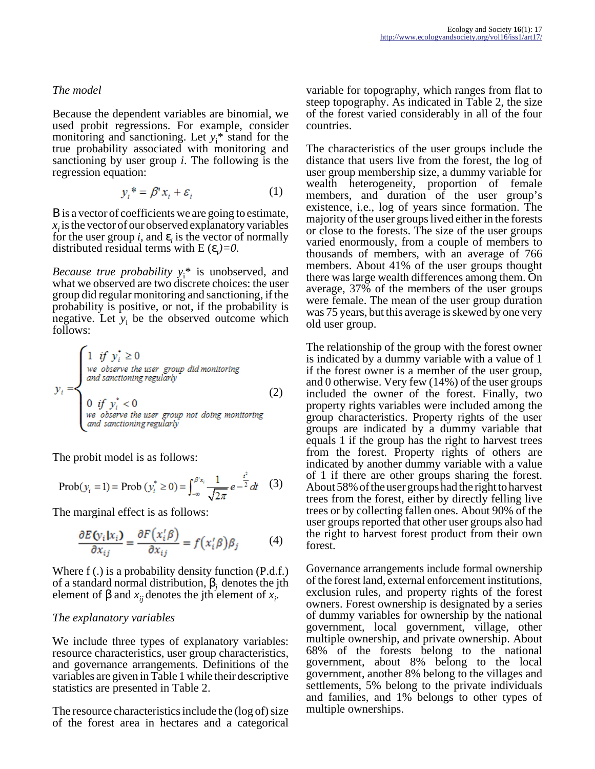#### *The model*

Because the dependent variables are binomial, we used probit regressions. For example, consider monitoring and sanctioning. Let  $y_i^*$  stand for the true probability associated with monitoring and sanctioning by user group *i*. The following is the regression equation:

$$
y_i^* = \beta' x_i + \varepsilon_i \tag{1}
$$

Β is a vector of coefficients we are going to estimate,  $x_i$  is the vector of our observed explanatory variables for the user group *i*, and  $\varepsilon$ <sub>*i*</sub> is the vector of normally distributed residual terms with  $E(\varepsilon_i)=0$ .

*Because true probability*  $y_i^*$  is unobserved, and what we observed are two discrete choices: the user group did regular monitoring and sanctioning, if the probability is positive, or not, if the probability is negative. Let  $y_i$  be the observed outcome which follows:

$$
y_i = \begin{cases} 1 & \text{if } y_i^* \ge 0 \\ \text{we observe the user group did monitoring} \\ \text{and sancitioning regularly} \\ 0 & \text{if } y_i^* < 0 \\ \text{we observe the user group not doing monitoring} \\ \text{and sancitioning regularly} \end{cases} \tag{2}
$$

The probit model is as follows:

Prob
$$
(y_i = 1)
$$
 = Prob $(y_i^* \ge 0)$  =  $\int_{-\infty}^{\beta' x_i} \frac{1}{\sqrt{2\pi}} e^{-\frac{t^2}{2}} dt$  (3)

The marginal effect is as follows:

$$
\frac{\partial E(\mathbf{y}_i|\mathbf{x}_i)}{\partial \mathbf{x}_{ij}} = \frac{\partial F(\mathbf{x}'_i|\mathbf{\beta})}{\partial \mathbf{x}_{ij}} = f(\mathbf{x}'_i|\mathbf{\beta})\mathbf{\beta}_j \tag{4}
$$

Where f (.) is a probability density function (P.d.f.) of a standard normal distribution,  $\beta_j$  denotes the jth element of β and  $x_{ij}$  denotes the jth element of  $x_i$ .

#### *The explanatory variables*

We include three types of explanatory variables: resource characteristics, user group characteristics, and governance arrangements. Definitions of the variables are given in Table 1 while their descriptive statistics are presented in Table 2.

The resource characteristics include the (log of) size of the forest area in hectares and a categorical variable for topography, which ranges from flat to steep topography. As indicated in Table 2, the size of the forest varied considerably in all of the four countries.

The characteristics of the user groups include the distance that users live from the forest, the log of user group membership size, a dummy variable for wealth heterogeneity, proportion of female members, and duration of the user group's existence, i.e., log of years since formation. The majority of the user groups lived either in the forests or close to the forests. The size of the user groups varied enormously, from a couple of members to thousands of members, with an average of 766 members. About 41% of the user groups thought there was large wealth differences among them. On average, 37% of the members of the user groups were female. The mean of the user group duration was 75 years, but this average is skewed by one very old user group.

The relationship of the group with the forest owner is indicated by a dummy variable with a value of 1 if the forest owner is a member of the user group, and 0 otherwise. Very few (14%) of the user groups included the owner of the forest. Finally, two property rights variables were included among the group characteristics. Property rights of the user groups are indicated by a dummy variable that equals 1 if the group has the right to harvest trees from the forest. Property rights of others are indicated by another dummy variable with a value of 1 if there are other groups sharing the forest. About 58% of the user groups had the right to harvest trees from the forest, either by directly felling live trees or by collecting fallen ones. About 90% of the user groups reported that other user groups also had the right to harvest forest product from their own forest.

Governance arrangements include formal ownership of the forest land, external enforcement institutions, exclusion rules, and property rights of the forest owners. Forest ownership is designated by a series of dummy variables for ownership by the national government, local government, village, other multiple ownership, and private ownership. About 68% of the forests belong to the national government, about 8% belong to the local government, another 8% belong to the villages and settlements, 5% belong to the private individuals and families, and 1% belongs to other types of multiple ownerships.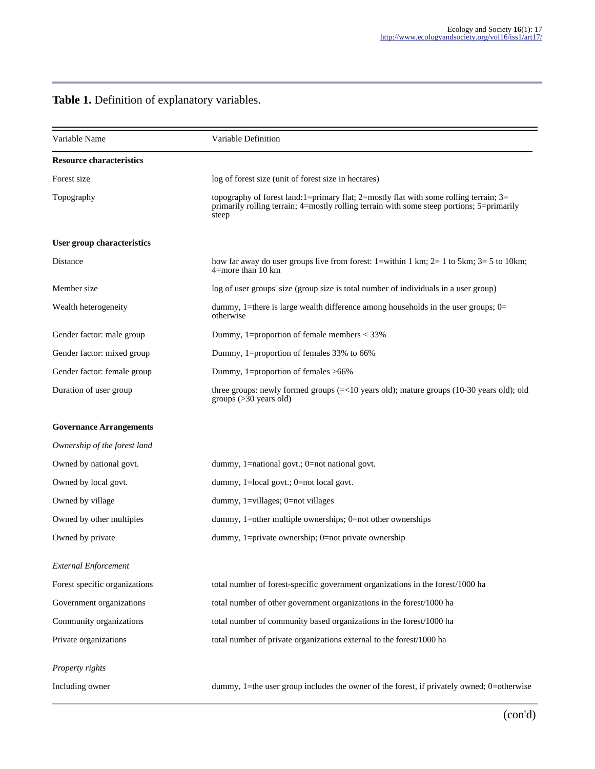# **Table 1.** Definition of explanatory variables.

| Variable Name                   | Variable Definition                                                                                                                                                                                     |
|---------------------------------|---------------------------------------------------------------------------------------------------------------------------------------------------------------------------------------------------------|
| <b>Resource characteristics</b> |                                                                                                                                                                                                         |
| Forest size                     | log of forest size (unit of forest size in hectares)                                                                                                                                                    |
| Topography                      | topography of forest land: $1 = primary$ flat; $2 = mostly$ flat with some rolling terrain; $3 =$<br>primarily rolling terrain; 4=mostly rolling terrain with some steep portions; 5=primarily<br>steep |
| User group characteristics      |                                                                                                                                                                                                         |
| Distance                        | how far away do user groups live from forest: 1=within 1 km; $2=1$ to 5km; $3=5$ to 10km;<br>4=more than 10 km                                                                                          |
| Member size                     | log of user groups' size (group size is total number of individuals in a user group)                                                                                                                    |
| Wealth heterogeneity            | dummy, 1=there is large wealth difference among households in the user groups; $0=$<br>otherwise                                                                                                        |
| Gender factor: male group       | Dummy, 1=proportion of female members $<$ 33%                                                                                                                                                           |
| Gender factor: mixed group      | Dummy, 1=proportion of females 33% to 66%                                                                                                                                                               |
| Gender factor: female group     | Dummy, 1=proportion of females >66%                                                                                                                                                                     |
| Duration of user group          | three groups: newly formed groups (=<10 years old); mature groups (10-30 years old); old<br>groups $(>\!\!30$ years old)                                                                                |
| <b>Governance Arrangements</b>  |                                                                                                                                                                                                         |
| Ownership of the forest land    |                                                                                                                                                                                                         |
| Owned by national govt.         | dummy, 1=national govt.; 0=not national govt.                                                                                                                                                           |
| Owned by local govt.            | dummy, 1=local govt.; 0=not local govt.                                                                                                                                                                 |
| Owned by village                | dummy, 1=villages; 0=not villages                                                                                                                                                                       |
| Owned by other multiples        | dummy, 1=other multiple ownerships; 0=not other ownerships                                                                                                                                              |
| Owned by private                | dummy, 1=private ownership; 0=not private ownership                                                                                                                                                     |
| <b>External Enforcement</b>     |                                                                                                                                                                                                         |
| Forest specific organizations   | total number of forest-specific government organizations in the forest/1000 ha                                                                                                                          |
| Government organizations        | total number of other government organizations in the forest/1000 ha                                                                                                                                    |
| Community organizations         | total number of community based organizations in the forest/1000 ha                                                                                                                                     |
| Private organizations           | total number of private organizations external to the forest/1000 ha                                                                                                                                    |
| Property rights                 |                                                                                                                                                                                                         |
| Including owner                 | dummy, 1=the user group includes the owner of the forest, if privately owned; 0=otherwise                                                                                                               |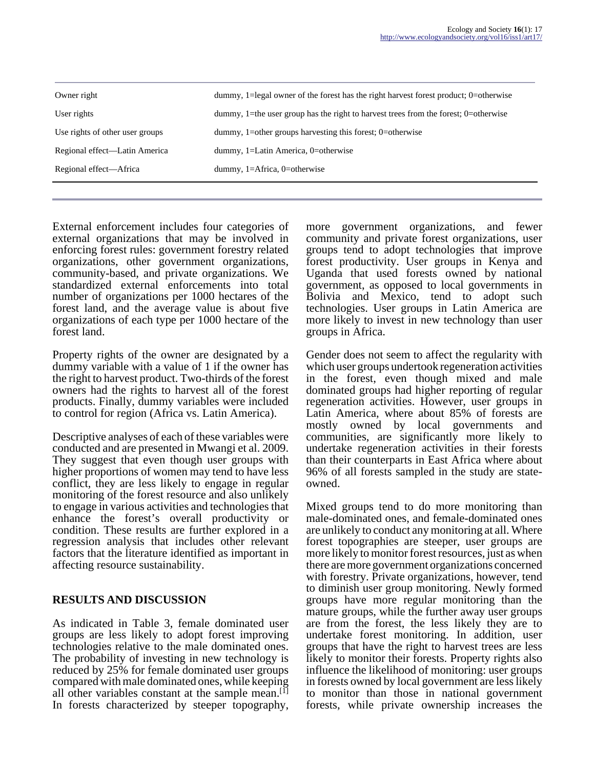| Owner right                     | dummy, 1=legal owner of the forest has the right harvest forest product; 0=otherwise   |
|---------------------------------|----------------------------------------------------------------------------------------|
| User rights                     | dummy, 1=the user group has the right to harvest trees from the forest; $0$ =otherwise |
| Use rights of other user groups | dummy, 1=other groups harvesting this forest; 0=otherwise                              |
| Regional effect—Latin America   | dummy, 1=Latin America, 0=otherwise                                                    |
| Regional effect—Africa          | dummy, $1 =$ Africa, $0 =$ otherwise                                                   |
|                                 |                                                                                        |

External enforcement includes four categories of external organizations that may be involved in enforcing forest rules: government forestry related organizations, other government organizations, community-based, and private organizations. We standardized external enforcements into total number of organizations per 1000 hectares of the forest land, and the average value is about five organizations of each type per 1000 hectare of the forest land.

Property rights of the owner are designated by a dummy variable with a value of 1 if the owner has the right to harvest product. Two-thirds of the forest owners had the rights to harvest all of the forest products. Finally, dummy variables were included to control for region (Africa vs. Latin America).

Descriptive analyses of each of these variables were conducted and are presented in Mwangi et al. 2009. They suggest that even though user groups with higher proportions of women may tend to have less conflict, they are less likely to engage in regular monitoring of the forest resource and also unlikely to engage in various activities and technologies that enhance the forest's overall productivity or condition. These results are further explored in a regression analysis that includes other relevant factors that the literature identified as important in affecting resource sustainability.

## **RESULTS AND DISCUSSION**

As indicated in Table 3, female dominated user groups are less likely to adopt forest improving technologies relative to the male dominated ones. The probability of investing in new technology is reduced by 25% for female dominated user groups compared with male dominated ones, while keeping all other variables constant at the sample mean. $\left[1\right]$ In forests characterized by steeper topography,

more government organizations, and fewer community and private forest organizations, user groups tend to adopt technologies that improve forest productivity. User groups in Kenya and Uganda that used forests owned by national government, as opposed to local governments in Bolivia and Mexico, tend to adopt such technologies. User groups in Latin America are more likely to invest in new technology than user groups in Africa.

Gender does not seem to affect the regularity with which user groups undertook regeneration activities in the forest, even though mixed and male dominated groups had higher reporting of regular regeneration activities. However, user groups in Latin America, where about 85% of forests are mostly owned by local governments and communities, are significantly more likely to undertake regeneration activities in their forests than their counterparts in East Africa where about 96% of all forests sampled in the study are stateowned.

Mixed groups tend to do more monitoring than male-dominated ones, and female-dominated ones are unlikely to conduct any monitoring at all. Where forest topographies are steeper, user groups are more likely to monitor forest resources, just as when there are more government organizations concerned with forestry. Private organizations, however, tend to diminish user group monitoring. Newly formed groups have more regular monitoring than the mature groups, while the further away user groups are from the forest, the less likely they are to undertake forest monitoring. In addition, user groups that have the right to harvest trees are less likely to monitor their forests. Property rights also influence the likelihood of monitoring: user groups in forests owned by local government are less likely to monitor than those in national government forests, while private ownership increases the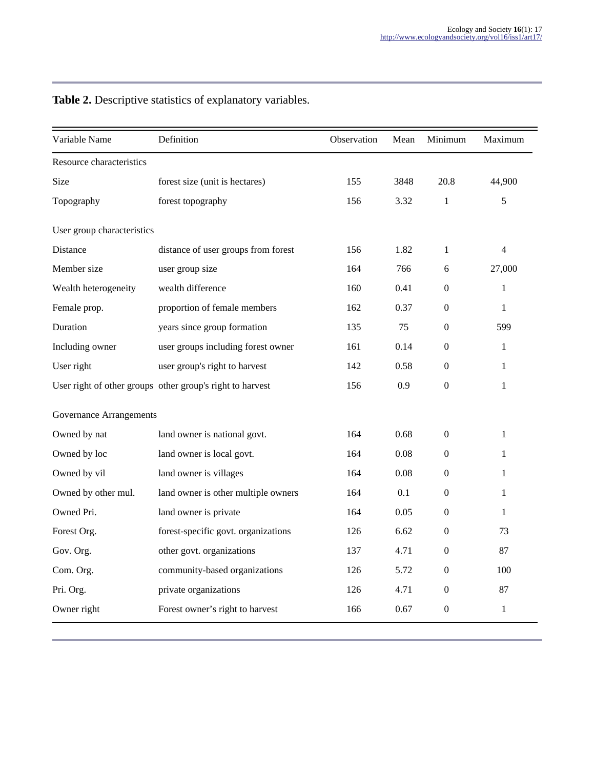| Variable Name                  | Definition                                                | Observation | Mean | Minimum          | Maximum      |  |  |  |
|--------------------------------|-----------------------------------------------------------|-------------|------|------------------|--------------|--|--|--|
| Resource characteristics       |                                                           |             |      |                  |              |  |  |  |
| Size                           | forest size (unit is hectares)                            | 155         | 3848 | 20.8             | 44,900       |  |  |  |
| Topography                     | forest topography                                         | 156         | 3.32 | 1                | 5            |  |  |  |
| User group characteristics     |                                                           |             |      |                  |              |  |  |  |
| Distance                       | distance of user groups from forest                       | 156         | 1.82 | $\mathbf{1}$     | 4            |  |  |  |
| Member size                    | user group size                                           | 164         | 766  | 6                | 27,000       |  |  |  |
| Wealth heterogeneity           | wealth difference                                         | 160         | 0.41 | $\boldsymbol{0}$ | $\mathbf{1}$ |  |  |  |
| Female prop.                   | proportion of female members                              | 162         | 0.37 | $\boldsymbol{0}$ | $\mathbf{1}$ |  |  |  |
| Duration                       | years since group formation                               | 135         | 75   | $\boldsymbol{0}$ | 599          |  |  |  |
| Including owner                | user groups including forest owner                        | 161         | 0.14 | $\mathbf{0}$     | 1            |  |  |  |
| User right                     | user group's right to harvest                             | 142         | 0.58 | $\boldsymbol{0}$ | $\mathbf{1}$ |  |  |  |
|                                | User right of other groups other group's right to harvest | 156         | 0.9  | $\boldsymbol{0}$ | $\mathbf{1}$ |  |  |  |
| <b>Governance Arrangements</b> |                                                           |             |      |                  |              |  |  |  |
| Owned by nat                   | land owner is national govt.                              | 164         | 0.68 | $\mathbf{0}$     | $\mathbf{1}$ |  |  |  |
| Owned by loc                   | land owner is local govt.                                 | 164         | 0.08 | $\boldsymbol{0}$ | 1            |  |  |  |
| Owned by vil                   | land owner is villages                                    | 164         | 0.08 | $\boldsymbol{0}$ | $\mathbf{1}$ |  |  |  |
| Owned by other mul.            | land owner is other multiple owners                       | 164         | 0.1  | $\mathbf{0}$     | 1            |  |  |  |
| Owned Pri.                     | land owner is private                                     | 164         | 0.05 | $\boldsymbol{0}$ | 1            |  |  |  |
| Forest Org.                    | forest-specific govt. organizations                       | 126         | 6.62 | $\boldsymbol{0}$ | 73           |  |  |  |
| Gov. Org.                      | other govt. organizations                                 | 137         | 4.71 | $\boldsymbol{0}$ | 87           |  |  |  |
| Com. Org.                      | community-based organizations                             | 126         | 5.72 | $\boldsymbol{0}$ | 100          |  |  |  |
| Pri. Org.                      | private organizations                                     | 126         | 4.71 | $\boldsymbol{0}$ | 87           |  |  |  |
| Owner right                    | Forest owner's right to harvest                           | 166         | 0.67 | $\boldsymbol{0}$ | $\mathbf{1}$ |  |  |  |

# **Table 2.** Descriptive statistics of explanatory variables.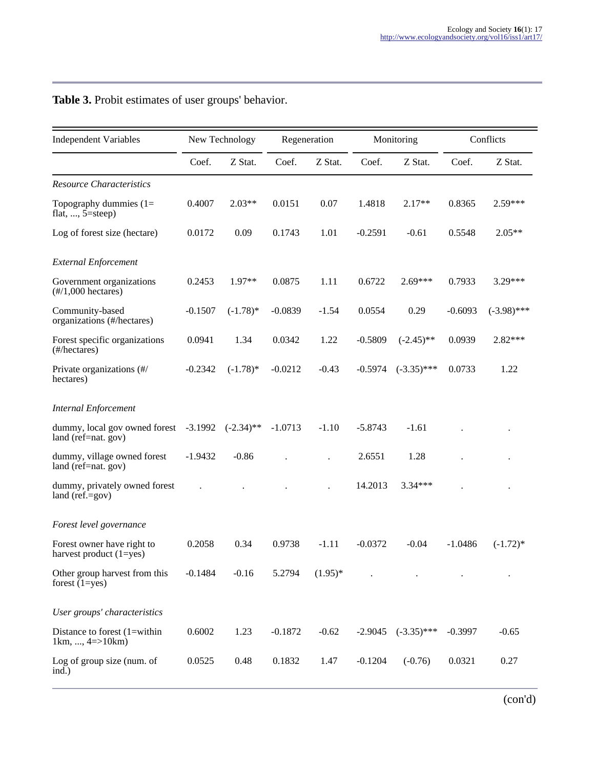| <b>Independent Variables</b>                                 | New Technology |              | Regeneration |            | Monitoring |               | Conflicts |               |
|--------------------------------------------------------------|----------------|--------------|--------------|------------|------------|---------------|-----------|---------------|
|                                                              | Coef.          | Z Stat.      | Coef.        | Z Stat.    | Coef.      | Z Stat.       | Coef.     | Z Stat.       |
| <b>Resource Characteristics</b>                              |                |              |              |            |            |               |           |               |
| Topography dummies $(1=$<br>flat, , $5 = \text{steep}$       | 0.4007         | $2.03**$     | 0.0151       | 0.07       | 1.4818     | $2.17**$      | 0.8365    | $2.59***$     |
| Log of forest size (hectare)                                 | 0.0172         | 0.09         | 0.1743       | 1.01       | $-0.2591$  | $-0.61$       | 0.5548    | $2.05**$      |
| <b>External Enforcement</b>                                  |                |              |              |            |            |               |           |               |
| Government organizations<br>$(\frac{\#}{1,000})$ hectares)   | 0.2453         | $1.97**$     | 0.0875       | 1.11       | 0.6722     | $2.69***$     | 0.7933    | 3.29***       |
| Community-based<br>organizations (#/hectares)                | $-0.1507$      | $(-1.78)$ *  | $-0.0839$    | $-1.54$    | 0.0554     | 0.29          | $-0.6093$ | $(-3.98)$ *** |
| Forest specific organizations<br>(#/hectares)                | 0.0941         | 1.34         | 0.0342       | 1.22       | $-0.5809$  | $(-2.45)$ **  | 0.0939    | 2.82***       |
| Private organizations (#/<br>hectares)                       | $-0.2342$      | $(-1.78)$ *  | $-0.0212$    | $-0.43$    | $-0.5974$  | $(-3.35)$ *** | 0.0733    | 1.22          |
| <b>Internal Enforcement</b>                                  |                |              |              |            |            |               |           |               |
| dummy, local gov owned forest -3.1992<br>land (ref=nat. gov) |                | $(-2.34)$ ** | $-1.0713$    | $-1.10$    | $-5.8743$  | $-1.61$       |           |               |
| dummy, village owned forest<br>land (ref=nat. gov)           | $-1.9432$      | $-0.86$      |              |            | 2.6551     | 1.28          |           |               |
| dummy, privately owned forest<br>land $(ref.=gov)$           |                |              |              |            | 14.2013    | 3.34***       |           |               |
| Forest level governance                                      |                |              |              |            |            |               |           |               |
| Forest owner have right to<br>harvest product (1=yes)        | 0.2058         | 0.34         | 0.9738       | $-1.11$    | $-0.0372$  | $-0.04$       | $-1.0486$ | $(-1.72)$ *   |
| Other group harvest from this<br>forest $(1 = yes)$          | $-0.1484$      | $-0.16$      | 5.2794       | $(1.95)^*$ |            |               |           |               |
| User groups' characteristics                                 |                |              |              |            |            |               |           |               |
| Distance to forest (1=within<br>$1km, , 4 = >10km$           | 0.6002         | 1.23         | $-0.1872$    | $-0.62$    | $-2.9045$  | $(-3.35)$ *** | $-0.3997$ | $-0.65$       |
| Log of group size (num. of<br>ind.)                          | 0.0525         | 0.48         | 0.1832       | 1.47       | $-0.1204$  | $(-0.76)$     | 0.0321    | 0.27          |

# **Table 3.** Probit estimates of user groups' behavior.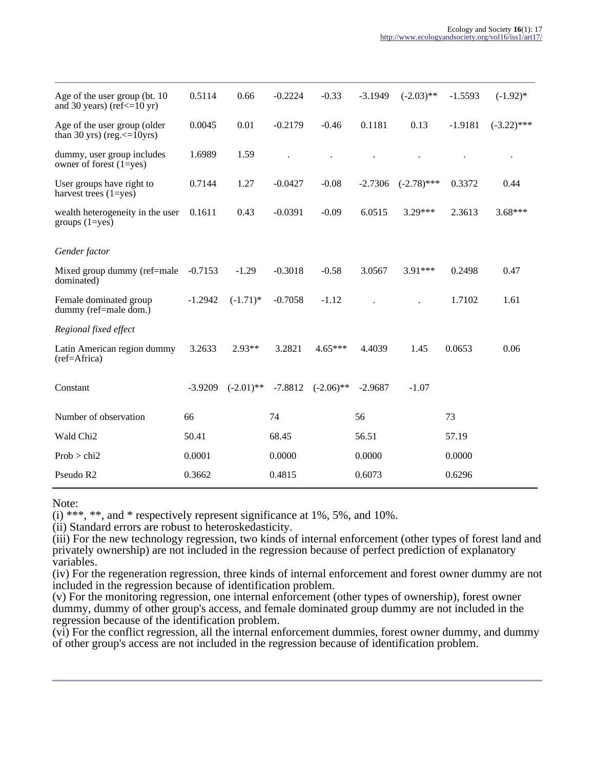| Age of the user group (bt. 10)<br>and 30 years) (ref $\leq$ =10 yr) | 0.5114    | 0.66         | $-0.2224$ | $-0.33$      | $-3.1949$ | $(-2.03)$ **  | $-1.5593$ | $(-1.92)$ *   |
|---------------------------------------------------------------------|-----------|--------------|-----------|--------------|-----------|---------------|-----------|---------------|
| Age of the user group (older<br>than 30 yrs) (reg. $\leq$ = 10yrs)  | 0.0045    | 0.01         | $-0.2179$ | $-0.46$      | 0.1181    | 0.13          | $-1.9181$ | $(-3.22)$ *** |
| dummy, user group includes<br>owner of forest $(1 = yes)$           | 1.6989    | 1.59         |           |              |           |               |           |               |
| User groups have right to<br>harvest trees $(1 = yes)$              | 0.7144    | 1.27         | $-0.0427$ | $-0.08$      | $-2.7306$ | $(-2.78)$ *** | 0.3372    | 0.44          |
| wealth heterogeneity in the user<br>$groups (1 = yes)$              | 0.1611    | 0.43         | $-0.0391$ | $-0.09$      | 6.0515    | 3.29***       | 2.3613    | $3.68***$     |
| Gender factor                                                       |           |              |           |              |           |               |           |               |
| Mixed group dummy (ref=male<br>dominated)                           | $-0.7153$ | $-1.29$      | $-0.3018$ | $-0.58$      | 3.0567    | $3.91***$     | 0.2498    | 0.47          |
| Female dominated group<br>dummy (ref=male dom.)                     | $-1.2942$ | $(-1.71)^*$  | $-0.7058$ | $-1.12$      |           |               | 1.7102    | 1.61          |
| Regional fixed effect                                               |           |              |           |              |           |               |           |               |
| Latin American region dummy<br>(ref=Africa)                         | 3.2633    | $2.93**$     | 3.2821    | $4.65***$    | 4.4039    | 1.45          | 0.0653    | 0.06          |
| Constant                                                            | $-3.9209$ | $(-2.01)$ ** | $-7.8812$ | $(-2.06)$ ** | $-2.9687$ | $-1.07$       |           |               |
| Number of observation                                               | 66        |              | 74        |              | 56        |               | 73        |               |
| Wald Chi2                                                           | 50.41     |              | 68.45     |              | 56.51     |               | 57.19     |               |
| Prob > chi2                                                         | 0.0001    |              | 0.0000    |              | 0.0000    |               | 0.0000    |               |
| Pseudo R <sub>2</sub>                                               | 0.3662    |              | 0.4815    |              | 0.6073    |               | 0.6296    |               |

Note:

(i) \*\*\*, \*\*, and \* respectively represent significance at  $1\%$ , 5%, and  $10\%$ .

(ii) Standard errors are robust to heteroskedasticity.

(iii) For the new technology regression, two kinds of internal enforcement (other types of forest land and privately ownership) are not included in the regression because of perfect prediction of explanatory variables.

(iv) For the regeneration regression, three kinds of internal enforcement and forest owner dummy are not included in the regression because of identification problem.

(v) For the monitoring regression, one internal enforcement (other types of ownership), forest owner dummy, dummy of other group's access, and female dominated group dummy are not included in the regression because of the identification problem.

(vi) For the conflict regression, all the internal enforcement dummies, forest owner dummy, and dummy of other group's access are not included in the regression because of identification problem.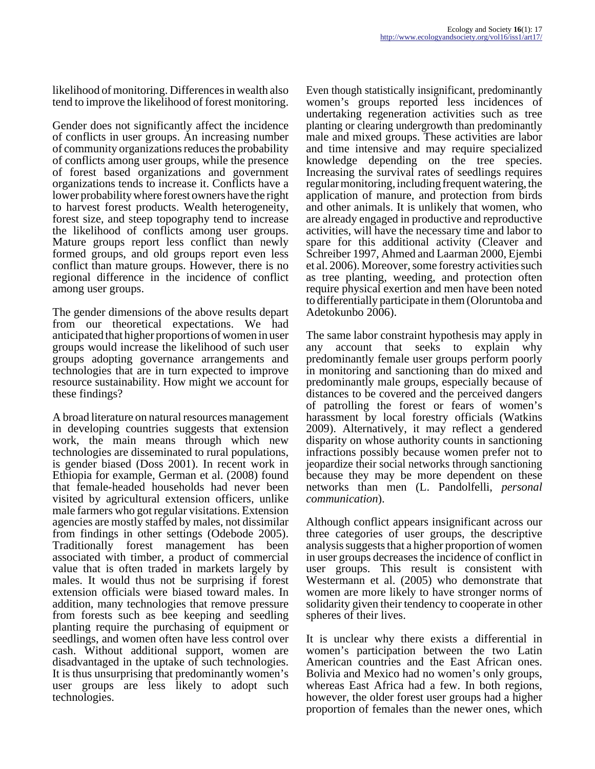likelihood of monitoring. Differences in wealth also tend to improve the likelihood of forest monitoring.

Gender does not significantly affect the incidence of conflicts in user groups. An increasing number of community organizations reduces the probability of conflicts among user groups, while the presence of forest based organizations and government organizations tends to increase it. Conflicts have a lower probability where forest owners have the right to harvest forest products. Wealth heterogeneity, forest size, and steep topography tend to increase the likelihood of conflicts among user groups. Mature groups report less conflict than newly formed groups, and old groups report even less conflict than mature groups. However, there is no regional difference in the incidence of conflict among user groups.

The gender dimensions of the above results depart from our theoretical expectations. We had anticipated that higher proportions of women in user groups would increase the likelihood of such user groups adopting governance arrangements and technologies that are in turn expected to improve resource sustainability. How might we account for these findings?

A broad literature on natural resources management in developing countries suggests that extension work, the main means through which new technologies are disseminated to rural populations, is gender biased (Doss 2001). In recent work in Ethiopia for example, German et al. (2008) found that female-headed households had never been visited by agricultural extension officers, unlike male farmers who got regular visitations. Extension agencies are mostly staffed by males, not dissimilar from findings in other settings (Odebode 2005). Traditionally forest management has been associated with timber, a product of commercial value that is often traded in markets largely by males. It would thus not be surprising if forest extension officials were biased toward males. In addition, many technologies that remove pressure from forests such as bee keeping and seedling planting require the purchasing of equipment or seedlings, and women often have less control over cash. Without additional support, women are disadvantaged in the uptake of such technologies. It is thus unsurprising that predominantly women's user groups are less likely to adopt such technologies.

Even though statistically insignificant, predominantly women's groups reported less incidences of undertaking regeneration activities such as tree planting or clearing undergrowth than predominantly male and mixed groups. These activities are labor and time intensive and may require specialized knowledge depending on the tree species. Increasing the survival rates of seedlings requires regular monitoring, including frequent watering, the application of manure, and protection from birds and other animals. It is unlikely that women, who are already engaged in productive and reproductive activities, will have the necessary time and labor to spare for this additional activity (Cleaver and Schreiber 1997, Ahmed and Laarman 2000, Ejembi et al. 2006). Moreover, some forestry activities such as tree planting, weeding, and protection often require physical exertion and men have been noted to differentially participate in them (Oloruntoba and Adetokunbo 2006).

The same labor constraint hypothesis may apply in any account that seeks to explain why predominantly female user groups perform poorly in monitoring and sanctioning than do mixed and predominantly male groups, especially because of distances to be covered and the perceived dangers of patrolling the forest or fears of women's harassment by local forestry officials (Watkins 2009). Alternatively, it may reflect a gendered disparity on whose authority counts in sanctioning infractions possibly because women prefer not to jeopardize their social networks through sanctioning because they may be more dependent on these networks than men (L. Pandolfelli, *personal communication*).

Although conflict appears insignificant across our three categories of user groups, the descriptive analysis suggests that a higher proportion of women in user groups decreases the incidence of conflict in user groups. This result is consistent with Westermann et al. (2005) who demonstrate that women are more likely to have stronger norms of solidarity given their tendency to cooperate in other spheres of their lives.

It is unclear why there exists a differential in women's participation between the two Latin American countries and the East African ones. Bolivia and Mexico had no women's only groups, whereas East Africa had a few. In both regions, however, the older forest user groups had a higher proportion of females than the newer ones, which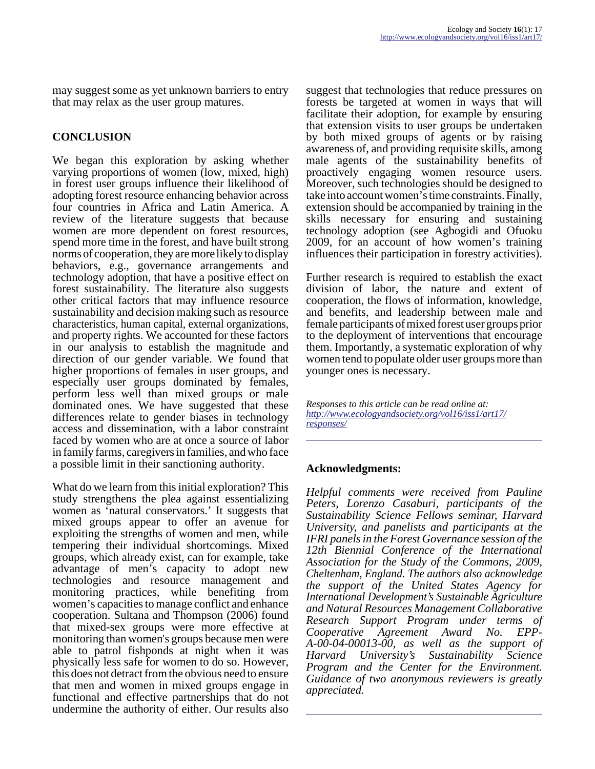may suggest some as yet unknown barriers to entry that may relax as the user group matures.

## **CONCLUSION**

We began this exploration by asking whether varying proportions of women (low, mixed, high) in forest user groups influence their likelihood of adopting forest resource enhancing behavior across four countries in Africa and Latin America. A review of the literature suggests that because women are more dependent on forest resources, spend more time in the forest, and have built strong norms of cooperation, they are more likely to display behaviors, e.g., governance arrangements and technology adoption, that have a positive effect on forest sustainability. The literature also suggests other critical factors that may influence resource sustainability and decision making such as resource characteristics, human capital, external organizations, and property rights. We accounted for these factors in our analysis to establish the magnitude and direction of our gender variable. We found that higher proportions of females in user groups, and especially user groups dominated by females, perform less well than mixed groups or male dominated ones. We have suggested that these differences relate to gender biases in technology access and dissemination, with a labor constraint faced by women who are at once a source of labor in family farms, caregivers in families, and who face a possible limit in their sanctioning authority.

What do we learn from this initial exploration? This study strengthens the plea against essentializing women as 'natural conservators.' It suggests that mixed groups appear to offer an avenue for exploiting the strengths of women and men, while tempering their individual shortcomings. Mixed groups, which already exist, can for example, take advantage of men's capacity to adopt new technologies and resource management and monitoring practices, while benefiting from women's capacities to manage conflict and enhance cooperation. Sultana and Thompson (2006) found that mixed-sex groups were more effective at monitoring than women's groups because men were able to patrol fishponds at night when it was physically less safe for women to do so. However, this does not detract from the obvious need to ensure that men and women in mixed groups engage in functional and effective partnerships that do not undermine the authority of either. Our results also

suggest that technologies that reduce pressures on forests be targeted at women in ways that will facilitate their adoption, for example by ensuring that extension visits to user groups be undertaken by both mixed groups of agents or by raising awareness of, and providing requisite skills, among male agents of the sustainability benefits of proactively engaging women resource users. Moreover, such technologies should be designed to take into account women's time constraints. Finally, extension should be accompanied by training in the skills necessary for ensuring and sustaining technology adoption (see Agbogidi and Ofuoku 2009, for an account of how women's training influences their participation in forestry activities).

Further research is required to establish the exact division of labor, the nature and extent of cooperation, the flows of information, knowledge, and benefits, and leadership between male and female participants of mixed forest user groups prior to the deployment of interventions that encourage them. Importantly, a systematic exploration of why women tend to populate older user groups more than younger ones is necessary.

*Responses to this article can be read online at: [http://www](http://www.ecologyandsociety.org/vol16/iss1/art17/responses/).ecologyandsociety.org/vol16/iss1/art17/ responses/*

## **Acknowledgments:**

*Helpful comments were received from Pauline Peters, Lorenzo Casaburi, participants of the Sustainability Science Fellows seminar, Harvard University, and panelists and participants at the IFRI panels in the Forest Governance session of the 12th Biennial Conference of the International Association for the Study of the Commons, 2009, Cheltenham, England. The authors also acknowledge the support of the United States Agency for International Development's Sustainable Agriculture and Natural Resources Management Collaborative Research Support Program under terms of Cooperative Agreement Award No. EPP-A-00-04-00013-00, as well as the support of Harvard University's Sustainability Science Program and the Center for the Environment. Guidance of two anonymous reviewers is greatly appreciated.*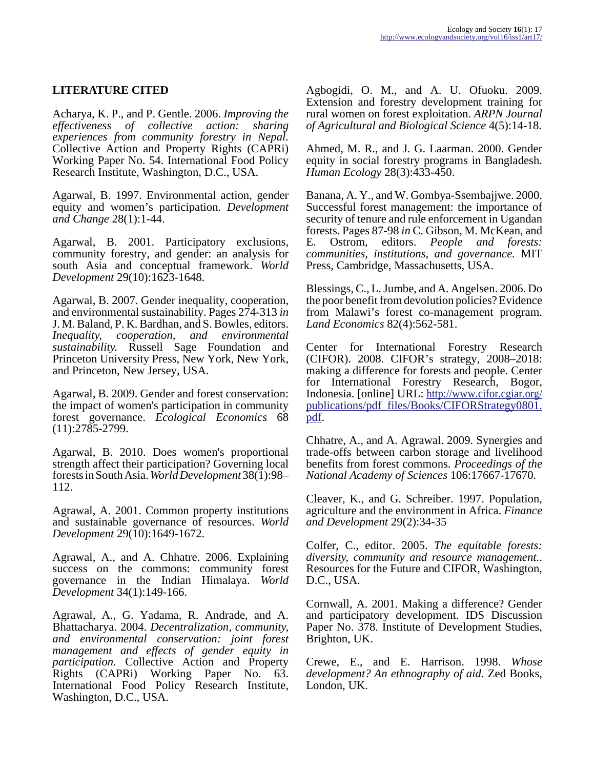## **LITERATURE CITED**

Acharya, K. P., and P. Gentle. 2006. *Improving the effectiveness of collective action: sharing experiences from community forestry in Nepal.* Collective Action and Property Rights (CAPRi) Working Paper No. 54. International Food Policy Research Institute, Washington, D.C., USA.

Agarwal, B. 1997. Environmental action, gender equity and women's participation. *Development and Change* 28(1):1-44.

Agarwal, B. 2001. Participatory exclusions, community forestry, and gender: an analysis for south Asia and conceptual framework. *World Development* 29(10):1623-1648.

Agarwal, B. 2007. Gender inequality, cooperation, and environmental sustainability. Pages 274-313 *in* J. M. Baland, P. K. Bardhan, and S. Bowles, editors. *Inequality, cooperation, and environmental sustainability.* Russell Sage Foundation and Princeton University Press, New York, New York, and Princeton, New Jersey, USA.

Agarwal, B. 2009. Gender and forest conservation: the impact of women's participation in community forest governance. *Ecological Economics* 68 (11):2785-2799.

Agarwal, B. 2010. Does women's proportional strength affect their participation? Governing local forests in South Asia. *World Development* 38(1):98– 112.

Agrawal, A. 2001. Common property institutions and sustainable governance of resources. *World Development* 29(10):1649-1672.

Agrawal, A., and A. Chhatre. 2006. Explaining success on the commons: community forest governance in the Indian Himalaya. *World Development* 34(1):149-166.

Agrawal, A., G. Yadama, R. Andrade, and A. Bhattacharya. 2004. *Decentralization, community, and environmental conservation: joint forest management and effects of gender equity in participation.* Collective Action and Property Rights (CAPRi) Working Paper No. 63. International Food Policy Research Institute, Washington, D.C., USA.

Agbogidi, O. M., and A. U. Ofuoku. 2009. Extension and forestry development training for rural women on forest exploitation. *ARPN Journal of Agricultural and Biological Science* 4(5):14-18.

Ahmed, M. R., and J. G. Laarman. 2000. Gender equity in social forestry programs in Bangladesh. *Human Ecology* 28(3):433-450.

Banana, A. Y., and W. Gombya-Ssembajjwe. 2000. Successful forest management: the importance of security of tenure and rule enforcement in Ugandan forests. Pages 87-98 *in* C. Gibson, M. McKean, and E. Ostrom, editors. *People and forests: communities, institutions, and governance.* MIT Press, Cambridge, Massachusetts, USA.

Blessings, C., L. Jumbe, and A. Angelsen. 2006. Do the poor benefit from devolution policies? Evidence from Malawi's forest co-management program. *Land Economics* 82(4):562-581.

Center for International Forestry Research (CIFOR). 2008. CIFOR's strategy, 2008–2018: making a difference for forests and people. Center for International Forestry Research, Bogor, Indonesia. [online] URL: [http://www.cifor.cgiar.org/](http://www.cifor.cgiar.org/publications/pdf_files/Books/CIFORStrategy0801.pdf) publications/pdf\_files/Books/CIFORStrategy0801. [pdf.](http://www.cifor.cgiar.org/publications/pdf_files/Books/CIFORStrategy0801.pdf)

Chhatre, A., and A. Agrawal. 2009. Synergies and trade-offs between carbon storage and livelihood benefits from forest commons. *Proceedings of the National Academy of Sciences* 106:17667-17670.

Cleaver, K., and G. Schreiber. 1997. Population, agriculture and the environment in Africa. *Finance and Development* 29(2):34-35

Colfer, C., editor. 2005. *The equitable forests: diversity, community and resource management.*. Resources for the Future and CIFOR, Washington, D.C., USA.

Cornwall, A. 2001. Making a difference? Gender and participatory development. IDS Discussion Paper No. 378. Institute of Development Studies, Brighton, UK.

Crewe, E., and E. Harrison. 1998. *Whose development? An ethnography of aid.* Zed Books, London, UK.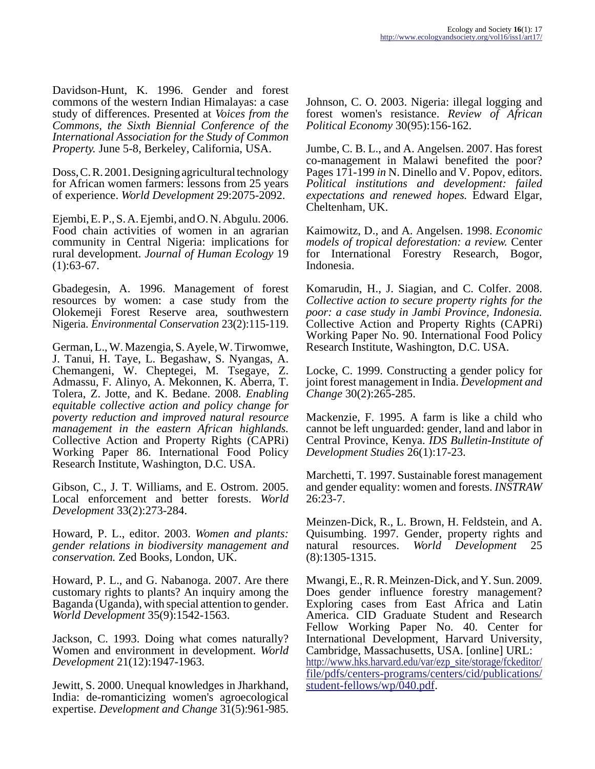Davidson-Hunt, K. 1996. Gender and forest commons of the western Indian Himalayas: a case study of differences. Presented at *Voices from the Commons, the Sixth Biennial Conference of the International Association for the Study of Common Property.* June 5-8, Berkeley, California, USA.

Doss, C. R. 2001. Designing agricultural technology for African women farmers: lessons from 25 years of experience. *World Development* 29:2075-2092.

Ejembi, E. P., S. A. Ejembi, and O. N. Abgulu. 2006. Food chain activities of women in an agrarian community in Central Nigeria: implications for rural development. *Journal of Human Ecology* 19  $(1):63-67.$ 

Gbadegesin, A. 1996. Management of forest resources by women: a case study from the Olokemeji Forest Reserve area, southwestern Nigeria. *Environmental Conservation* 23(2):115-119.

German, L., W. Mazengia, S. Ayele, W. Tirwomwe, J. Tanui, H. Taye, L. Begashaw, S. Nyangas, A. Chemangeni, W. Cheptegei, M. Tsegaye, Z. Admassu, F. Alinyo, A. Mekonnen, K. Aberra, T. Tolera, Z. Jotte, and K. Bedane. 2008. *Enabling equitable collective action and policy change for poverty reduction and improved natural resource management in the eastern African highlands.* Collective Action and Property Rights (CAPRi) Working Paper 86. International Food Policy Research Institute, Washington, D.C. USA.

Gibson, C., J. T. Williams, and E. Ostrom. 2005. Local enforcement and better forests. *World Development* 33(2):273-284.

Howard, P. L., editor. 2003. *Women and plants: gender relations in biodiversity management and conservation.* Zed Books, London, UK.

Howard, P. L., and G. Nabanoga. 2007. Are there customary rights to plants? An inquiry among the Baganda (Uganda), with special attention to gender. *World Development* 35(9):1542-1563.

Jackson, C. 1993. Doing what comes naturally? Women and environment in development. *World Development* 21(12):1947-1963.

Jewitt, S. 2000. Unequal knowledges in Jharkhand, India: de-romanticizing women's agroecological expertise. *Development and Change* 31(5):961-985.

Johnson, C. O. 2003. Nigeria: illegal logging and forest women's resistance. *Review of African Political Economy* 30(95):156-162.

Jumbe, C. B. L., and A. Angelsen. 2007. Has forest co-management in Malawi benefited the poor? Pages 171-199 *in* N. Dinello and V. Popov, editors. *Political institutions and development: failed expectations and renewed hopes.* Edward Elgar, Cheltenham, UK.

Kaimowitz, D., and A. Angelsen. 1998. *Economic models of tropical deforestation: a review.* Center for International Forestry Research, Bogor, Indonesia.

Komarudin, H., J. Siagian, and C. Colfer. 2008. *Collective action to secure property rights for the poor: a case study in Jambi Province, Indonesia.* Collective Action and Property Rights (CAPRi) Working Paper No. 90. International Food Policy Research Institute, Washington, D.C. USA.

Locke, C. 1999. Constructing a gender policy for joint forest management in India. *Development and Change* 30(2):265-285.

Mackenzie, F. 1995. A farm is like a child who cannot be left unguarded: gender, land and labor in Central Province, Kenya. *IDS Bulletin-Institute of Development Studies* 26(1):17-23.

Marchetti, T. 1997. Sustainable forest management and gender equality: women and forests. *INSTRAW* 26:23-7.

Meinzen-Dick, R., L. Brown, H. Feldstein, and A. Quisumbing. 1997. Gender, property rights and natural resources. *World Development* 25 (8):1305-1315.

Mwangi, E., R. R. Meinzen-Dick, and Y. Sun. 2009. Does gender influence forestry management? Exploring cases from East Africa and Latin America. CID Graduate Student and Research Fellow Working Paper No. 40. Center for International Development, Harvard University, Cambridge, Massachusetts, USA. [online] URL: [http://www.hks.harvard.edu/var/ezp\\_site/storage/fckeditor/](http://www.hks.harvard.edu/var/ezp_site/storage/fckeditor/file/pdfs/centers-programs/centers/cid/publications/student-fellows/wp/040.pdf) [file/pdfs/centers-programs/centers/cid/publications/](http://www.hks.harvard.edu/var/ezp_site/storage/fckeditor/file/pdfs/centers-programs/centers/cid/publications/student-fellows/wp/040.pdf) [student-fellows/wp/040.pdf](http://www.hks.harvard.edu/var/ezp_site/storage/fckeditor/file/pdfs/centers-programs/centers/cid/publications/student-fellows/wp/040.pdf).